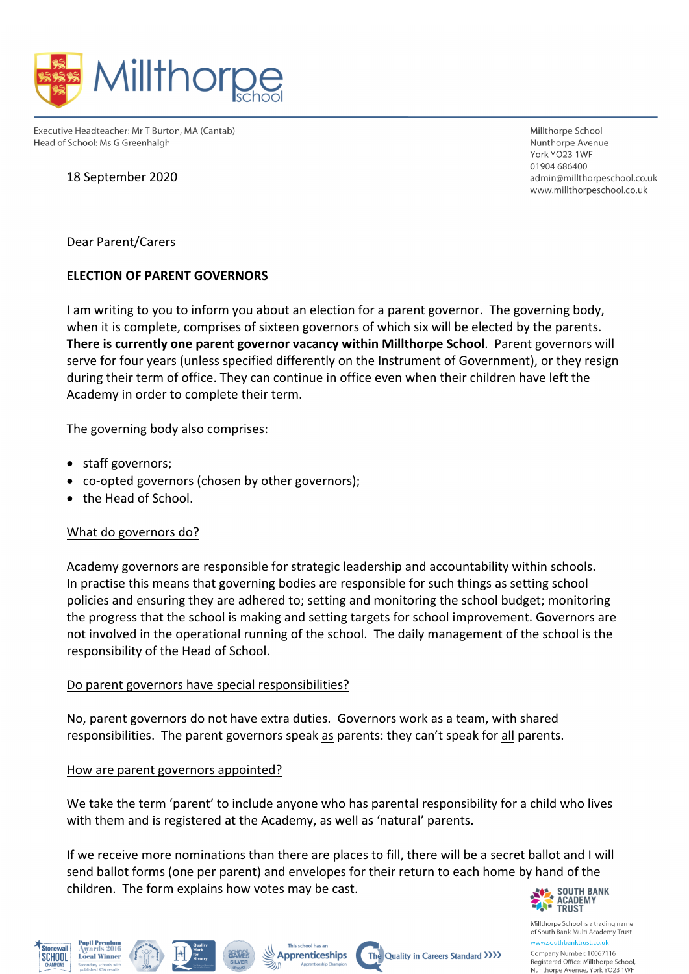

Executive Headteacher: Mr T Burton, MA (Cantab) Head of School: Ms G Greenhalgh

18 September 2020

Millthorne School Nunthorpe Avenue York YO23 1WF 01904 686400 admin@millthorpeschool.co.uk www.millthorpeschool.co.uk

Dear Parent/Carers

## **ELECTION OF PARENT GOVERNORS**

I am writing to you to inform you about an election for a parent governor. The governing body, when it is complete, comprises of sixteen governors of which six will be elected by the parents. **There is currently one parent governor vacancy within Millthorpe School**. Parent governors will serve for four years (unless specified differently on the Instrument of Government), or they resign during their term of office. They can continue in office even when their children have left the Academy in order to complete their term.

The governing body also comprises:

- staff governors;
- co-opted governors (chosen by other governors);
- the Head of School.

## What do governors do?

Academy governors are responsible for strategic leadership and accountability within schools. In practise this means that governing bodies are responsible for such things as setting school policies and ensuring they are adhered to; setting and monitoring the school budget; monitoring the progress that the school is making and setting targets for school improvement. Governors are not involved in the operational running of the school. The daily management of the school is the responsibility of the Head of School.

## Do parent governors have special responsibilities?

No, parent governors do not have extra duties. Governors work as a team, with shared responsibilities. The parent governors speak as parents: they can't speak for all parents.

How are parent governors appointed?

**Pupil Premium**<br>Awards 2016

**Local Winner** 

**SCHOOL** 

We take the term 'parent' to include anyone who has parental responsibility for a child who lives with them and is registered at the Academy, as well as 'natural' parents.

If we receive more nominations than there are places to fill, there will be a secret ballot and I will send ballot forms (one per parent) and envelopes for their return to each home by hand of the children. The form explains how votes may be cast.

The Quality in Careers Standard >>>>>

This school has an

⋙

**Apprenticeships** 



Millthorpe School is a trading name of South Bank Multi Academy Trust www.southbanktrust.co.u

Company Number: 10067116 Registered Office: Millthorpe School, Nunthorpe Avenue, York YO23 1WF